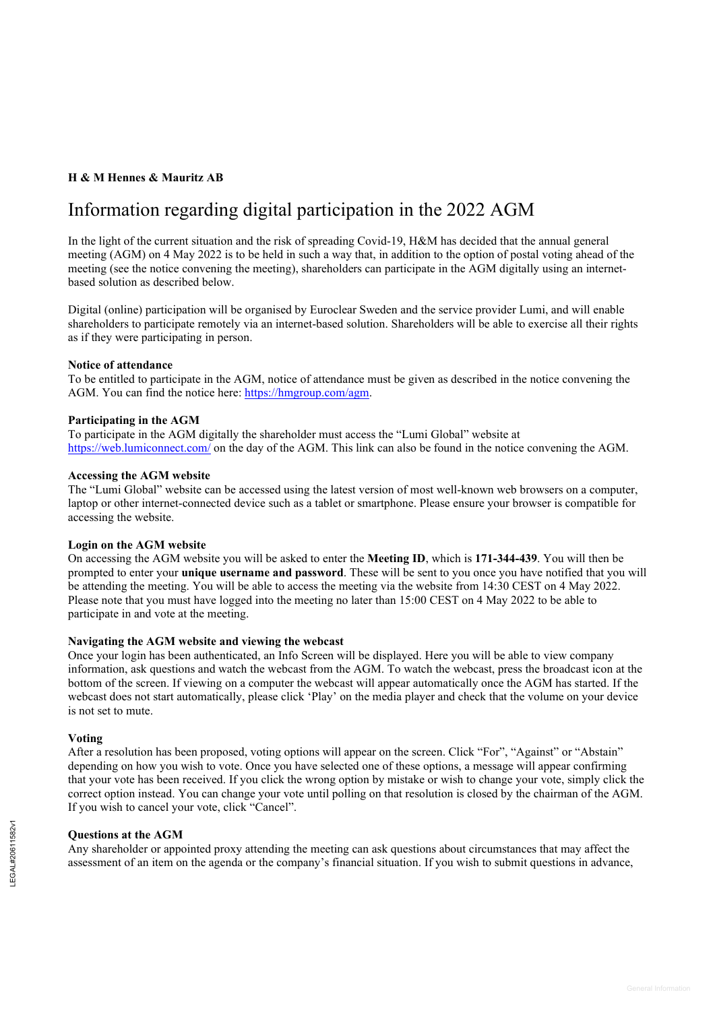## **H & M Hennes & Mauritz AB**

# Information regarding digital participation in the 2022 AGM

In the light of the current situation and the risk of spreading Covid-19, H&M has decided that the annual general meeting (AGM) on 4 May 2022 is to be held in such a way that, in addition to the option of postal voting ahead of the meeting (see the notice convening the meeting), shareholders can participate in the AGM digitally using an internetbased solution as described below.

Digital (online) participation will be organised by Euroclear Sweden and the service provider Lumi, and will enable shareholders to participate remotely via an internet-based solution. Shareholders will be able to exercise all their rights as if they were participating in person.

## **Notice of attendance**

To be entitled to participate in the AGM, notice of attendance must be given as described in the notice convening the AGM. You can find the notice here: [https://hmgroup.com/a](https://hmgroup.com/)gm.

## **Participating in the AGM**

To participate in the AGM digitally the shareholder must access the "Lumi Global" website at <https://web.lumiconnect.com/> on the day of the AGM. This link can also be found in the notice convening the AGM.

## **Accessing the AGM website**

The "Lumi Global" website can be accessed using the latest version of most well-known web browsers on a computer, laptop or other internet-connected device such as a tablet or smartphone. Please ensure your browser is compatible for accessing the website.

## **Login on the AGM website**

On accessing the AGM website you will be asked to enter the **Meeting ID**, which is **171-344-439**. You will then be prompted to enter your **unique username and password**. These will be sent to you once you have notified that you will be attending the meeting. You will be able to access the meeting via the website from 14:30 CEST on 4 May 2022. Please note that you must have logged into the meeting no later than 15:00 CEST on 4 May 2022 to be able to participate in and vote at the meeting.

## **Navigating the AGM website and viewing the webcast**

Once your login has been authenticated, an Info Screen will be displayed. Here you will be able to view company information, ask questions and watch the webcast from the AGM. To watch the webcast, press the broadcast icon at the bottom of the screen. If viewing on a computer the webcast will appear automatically once the AGM has started. If the webcast does not start automatically, please click 'Play' on the media player and check that the volume on your device is not set to mute.

## **Voting**

After a resolution has been proposed, voting options will appear on the screen. Click "For", "Against" or "Abstain" depending on how you wish to vote. Once you have selected one of these options, a message will appear confirming that your vote has been received. If you click the wrong option by mistake or wish to change your vote, simply click the correct option instead. You can change your vote until polling on that resolution is closed by the chairman of the AGM. If you wish to cancel your vote, click "Cancel".

## **Questions at the AGM**

Any shareholder or appointed proxy attending the meeting can ask questions about circumstances that may affect the assessment of an item on the agenda or the company's financial situation. If you wish to submit questions in advance,